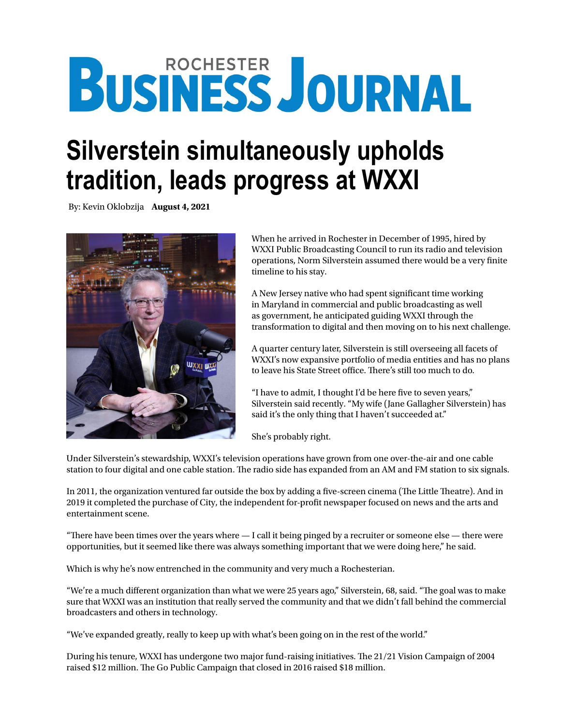# **BUSINESS JOURNAL**

## **Silverstein simultaneously upholds tradition, leads progress at WXXI**

By: Kevin Oklobzija **August 4, 2021**



When he arrived in Rochester in December of 1995, hired by WXXI Public Broadcasting Council to run its radio and television operations, Norm Silverstein assumed there would be a very finite timeline to his stay.

A New Jersey native who had spent significant time working in Maryland in commercial and public broadcasting as well as government, he anticipated guiding WXXI through the transformation to digital and then moving on to his next challenge.

A quarter century later, Silverstein is still overseeing all facets of WXXI's now expansive portfolio of media entities and has no plans to leave his State Street office. There's still too much to do.

"I have to admit, I thought I'd be here five to seven years," Silverstein said recently. "My wife (Jane Gallagher Silverstein) has said it's the only thing that I haven't succeeded at."

She's probably right.

Under Silverstein's stewardship, WXXI's television operations have grown from one over-the-air and one cable station to four digital and one cable station. The radio side has expanded from an AM and FM station to six signals.

In 2011, the organization ventured far outside the box by adding a five-screen cinema (The Little Theatre). And in 2019 it completed the purchase of City, the independent for-profit newspaper focused on news and the arts and entertainment scene.

"There have been times over the years where  $-I$  call it being pinged by a recruiter or someone else  $-$  there were opportunities, but it seemed like there was always something important that we were doing here," he said.

Which is why he's now entrenched in the community and very much a Rochesterian.

"We're a much different organization than what we were 25 years ago," Silverstein, 68, said. "The goal was to make sure that WXXI was an institution that really served the community and that we didn't fall behind the commercial broadcasters and others in technology.

"We've expanded greatly, really to keep up with what's been going on in the rest of the world."

During his tenure, WXXI has undergone two major fund-raising initiatives. The 21/21 Vision Campaign of 2004 raised \$12 million. The Go Public Campaign that closed in 2016 raised \$18 million.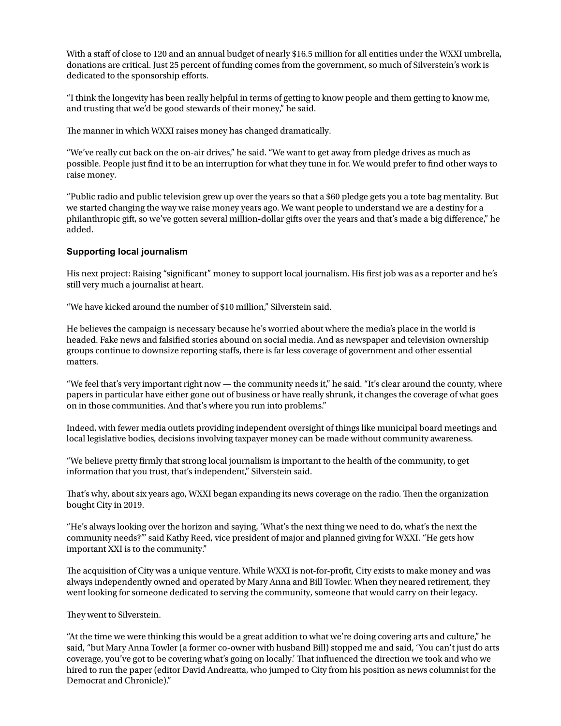With a staff of close to 120 and an annual budget of nearly \$16.5 million for all entities under the WXXI umbrella, donations are critical. Just 25 percent of funding comes from the government, so much of Silverstein's work is dedicated to the sponsorship efforts.

"I think the longevity has been really helpful in terms of getting to know people and them getting to know me, and trusting that we'd be good stewards of their money," he said.

The manner in which WXXI raises money has changed dramatically.

"We've really cut back on the on-air drives," he said. "We want to get away from pledge drives as much as possible. People just find it to be an interruption for what they tune in for. We would prefer to find other ways to raise money.

"Public radio and public television grew up over the years so that a \$60 pledge gets you a tote bag mentality. But we started changing the way we raise money years ago. We want people to understand we are a destiny for a philanthropic gift, so we've gotten several million-dollar gifts over the years and that's made a big difference," he added.

### **Supporting local journalism**

His next project: Raising "significant" money to support local journalism. His first job was as a reporter and he's still very much a journalist at heart.

"We have kicked around the number of \$10 million," Silverstein said.

He believes the campaign is necessary because he's worried about where the media's place in the world is headed. Fake news and falsified stories abound on social media. And as newspaper and television ownership groups continue to downsize reporting staffs, there is far less coverage of government and other essential matters.

"We feel that's very important right now — the community needs it," he said. "It's clear around the county, where papers in particular have either gone out of business or have really shrunk, it changes the coverage of what goes on in those communities. And that's where you run into problems."

Indeed, with fewer media outlets providing independent oversight of things like municipal board meetings and local legislative bodies, decisions involving taxpayer money can be made without community awareness.

"We believe pretty firmly that strong local journalism is important to the health of the community, to get information that you trust, that's independent," Silverstein said.

That's why, about six years ago, WXXI began expanding its news coverage on the radio. Then the organization bought City in 2019.

"He's always looking over the horizon and saying, 'What's the next thing we need to do, what's the next the community needs?'" said Kathy Reed, vice president of major and planned giving for WXXI. "He gets how important XXI is to the community."

The acquisition of City was a unique venture. While WXXI is not-for-profit, City exists to make money and was always independently owned and operated by Mary Anna and Bill Towler. When they neared retirement, they went looking for someone dedicated to serving the community, someone that would carry on their legacy.

#### They went to Silverstein.

"At the time we were thinking this would be a great addition to what we're doing covering arts and culture," he said, "but Mary Anna Towler (a former co-owner with husband Bill) stopped me and said, 'You can't just do arts coverage, you've got to be covering what's going on locally.' That influenced the direction we took and who we hired to run the paper (editor David Andreatta, who jumped to City from his position as news columnist for the Democrat and Chronicle)."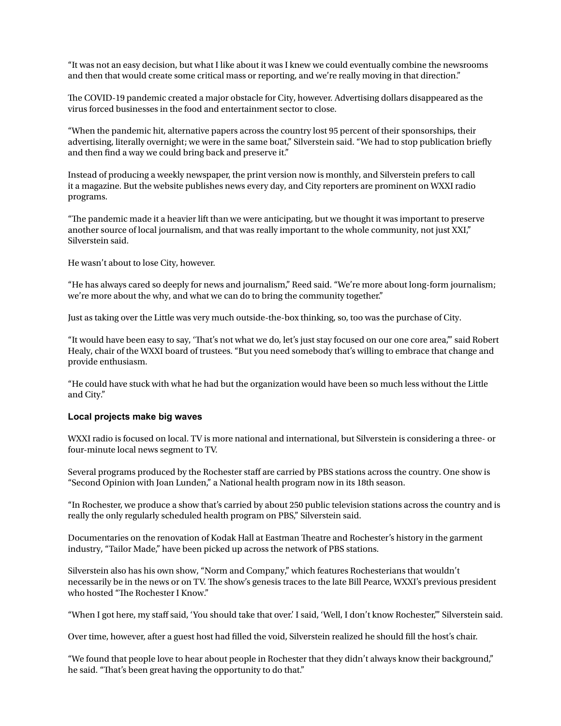"It was not an easy decision, but what I like about it was I knew we could eventually combine the newsrooms and then that would create some critical mass or reporting, and we're really moving in that direction."

The COVID-19 pandemic created a major obstacle for City, however. Advertising dollars disappeared as the virus forced businesses in the food and entertainment sector to close.

"When the pandemic hit, alternative papers across the country lost 95 percent of their sponsorships, their advertising, literally overnight; we were in the same boat," Silverstein said. "We had to stop publication briefly and then find a way we could bring back and preserve it."

Instead of producing a weekly newspaper, the print version now is monthly, and Silverstein prefers to call it a magazine. But the website publishes news every day, and City reporters are prominent on WXXI radio programs.

"The pandemic made it a heavier lift than we were anticipating, but we thought it was important to preserve another source of local journalism, and that was really important to the whole community, not just XXI," Silverstein said.

He wasn't about to lose City, however.

"He has always cared so deeply for news and journalism," Reed said. "We're more about long-form journalism; we're more about the why, and what we can do to bring the community together."

Just as taking over the Little was very much outside-the-box thinking, so, too was the purchase of City.

"It would have been easy to say, 'That's not what we do, let's just stay focused on our one core area,'" said Robert Healy, chair of the WXXI board of trustees. "But you need somebody that's willing to embrace that change and provide enthusiasm.

"He could have stuck with what he had but the organization would have been so much less without the Little and City."

#### **Local projects make big waves**

WXXI radio is focused on local. TV is more national and international, but Silverstein is considering a three- or four-minute local news segment to TV.

Several programs produced by the Rochester staff are carried by PBS stations across the country. One show is "Second Opinion with Joan Lunden," a National health program now in its 18th season.

"In Rochester, we produce a show that's carried by about 250 public television stations across the country and is really the only regularly scheduled health program on PBS," Silverstein said.

Documentaries on the renovation of Kodak Hall at Eastman Theatre and Rochester's history in the garment industry, "Tailor Made," have been picked up across the network of PBS stations.

Silverstein also has his own show, "Norm and Company," which features Rochesterians that wouldn't necessarily be in the news or on TV. The show's genesis traces to the late Bill Pearce, WXXI's previous president who hosted "The Rochester I Know."

"When I got here, my staff said, 'You should take that over.' I said, 'Well, I don't know Rochester,'" Silverstein said.

Over time, however, after a guest host had filled the void, Silverstein realized he should fill the host's chair.

"We found that people love to hear about people in Rochester that they didn't always know their background," he said. "That's been great having the opportunity to do that."